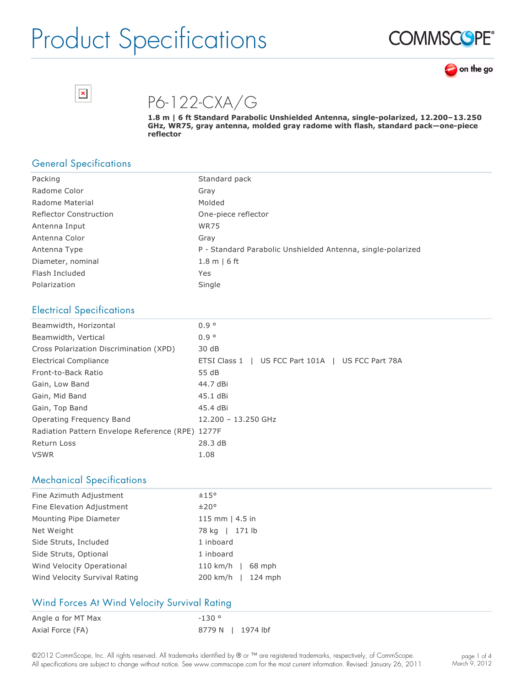





P6-122-CXA/G

**1.8 m | 6 ft Standard Parabolic Unshielded Antenna, singlepolarized, 12.200–13.250 GHz, WR75, gray antenna, molded gray radome with flash, standard pack—onepiece reflector**

### General Specifications

| Packing                       | Standard pack                                               |
|-------------------------------|-------------------------------------------------------------|
| Radome Color                  | Gray                                                        |
| Radome Material               | Molded                                                      |
| <b>Reflector Construction</b> | One-piece reflector                                         |
| Antenna Input                 | <b>WR75</b>                                                 |
| Antenna Color                 | Gray                                                        |
| Antenna Type                  | P - Standard Parabolic Unshielded Antenna, single-polarized |
| Diameter, nominal             | $1.8$ m $\mid$ 6 ft                                         |
| Flash Included                | Yes                                                         |
| Polarization                  | Single                                                      |

### Electrical Specifications

| Beamwidth, Horizontal                            | $0.9^\circ$                                           |
|--------------------------------------------------|-------------------------------------------------------|
| Beamwidth, Vertical                              | 0.9 <sup>o</sup>                                      |
| Cross Polarization Discrimination (XPD)          | 30 dB                                                 |
| <b>Electrical Compliance</b>                     | US FCC Part 101A  <br>US FCC Part 78A<br>ETSI Class 1 |
| Front-to-Back Ratio                              | 55 dB                                                 |
| Gain, Low Band                                   | 44.7 dBi                                              |
| Gain, Mid Band                                   | 45.1 dBi                                              |
| Gain, Top Band                                   | 45.4 dBi                                              |
| Operating Frequency Band                         | 12.200 - 13.250 GHz                                   |
| Radiation Pattern Envelope Reference (RPE) 1277F |                                                       |
| Return Loss                                      | 28.3dB                                                |
| <b>VSWR</b>                                      | 1.08                                                  |

#### Mechanical Specifications

| Fine Azimuth Adjustment       | ±15°                |
|-------------------------------|---------------------|
| Fine Elevation Adjustment     | ±20°                |
| Mounting Pipe Diameter        | 115 mm $ $ 4.5 in   |
| Net Weight                    | 78 kg   171 lb      |
| Side Struts, Included         | 1 inboard           |
| Side Struts, Optional         | 1 inboard           |
| Wind Velocity Operational     | 110 km/h   $68$ mph |
| Wind Velocity Survival Rating | 200 km/h   124 mph  |

#### Wind Forces At Wind Velocity Survival Rating

| Angle a for MT Max | $-130°$           |  |
|--------------------|-------------------|--|
| Axial Force (FA)   | 8779 N   1974 lbf |  |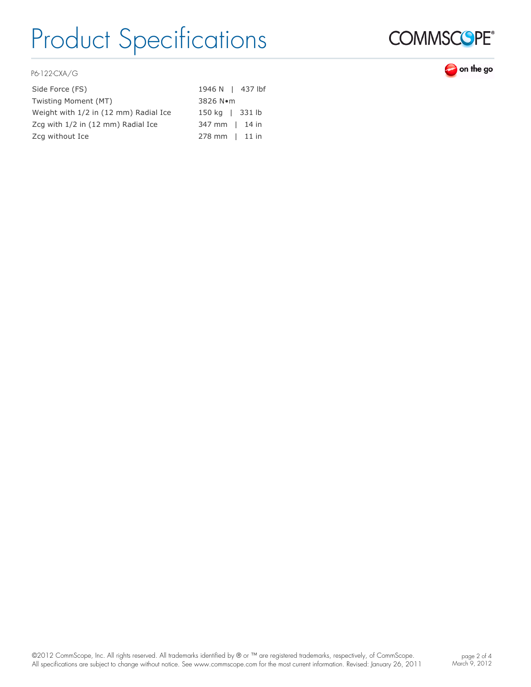

on the go

P6-122-CXA/G

| Side Force (FS)                       | 1946 N   437 lbf         |
|---------------------------------------|--------------------------|
| Twisting Moment (MT)                  | 3826 Nom                 |
| Weight with 1/2 in (12 mm) Radial Ice | 150 kg   331 lb          |
| Zcq with 1/2 in (12 mm) Radial Ice    | 347 mm   14 in           |
| Zcg without Ice                       | $278 \text{ mm}$   11 in |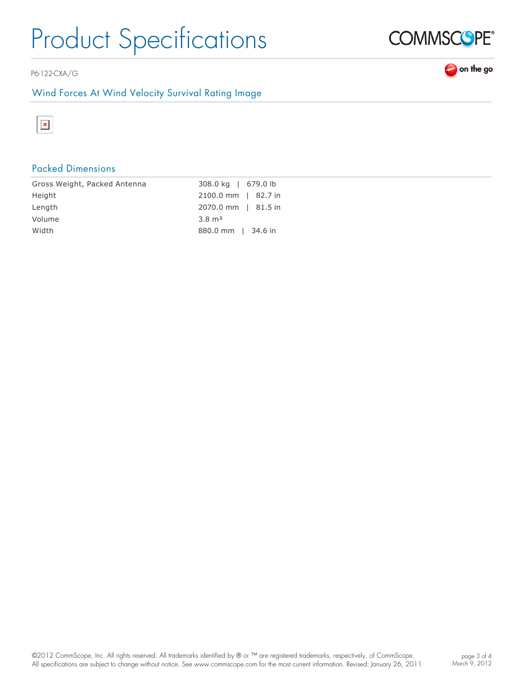P6-122-CXA/G

### Wind Forces At Wind Velocity Survival Rating Image



### Packed Dimensions

| Gross Weight, Packed Antenna | 308.0 kg   679.0 lb |
|------------------------------|---------------------|
| Height                       | 2100.0 mm   82.7 in |
| Length                       | 2070.0 mm   81.5 in |
| Volume                       | $3.8 \text{ m}^3$   |
| Width                        | 880.0 mm   34.6 in  |